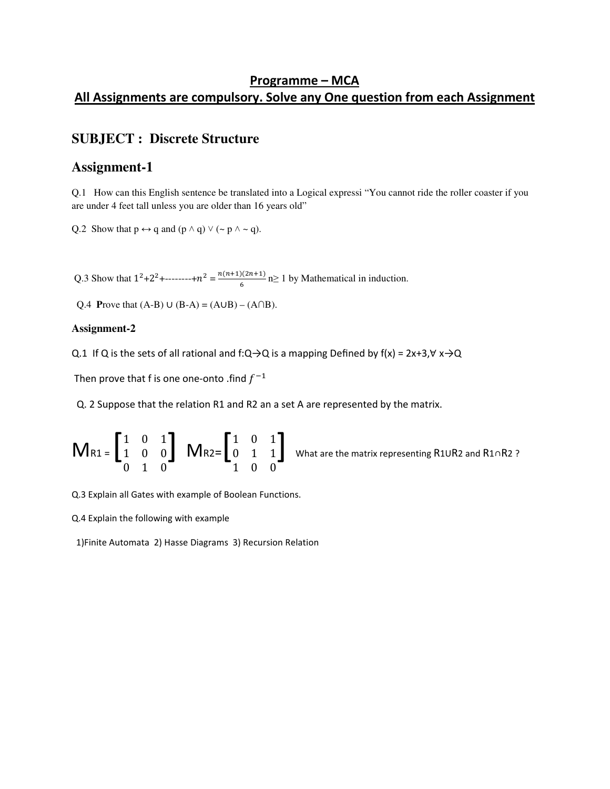### Programme – MCA All Assignments are compulsory. Solve any One question from each Assignment

### **SUBJECT : Discrete Structure**

### **Assignment-1**

Q.1 How can this English sentence be translated into a Logical expressi "You cannot ride the roller coaster if you are under 4 feet tall unless you are older than 16 years old"

Q.2 Show that  $p \leftrightarrow q$  and  $(p \land q) \lor (\sim p \land \sim q)$ .

Q.3 Show that  $1^2+2^2+\dots+2^n = \frac{n(n+1)(2n+1)}{6}$  $\frac{f(2n+1)}{6}$  n≥ 1 by Mathematical in induction.

Q.4 **Prove that**  $(A-B) \cup (B-A) = (A \cup B) - (A \cap B)$ **.** 

#### **Assignment-2**

Q.1 If Q is the sets of all rational and f:Q→Q is a mapping Defined by  $f(x) = 2x+3, \forall x\rightarrow Q$ 

Then prove that f is one one-onto .find  $f^{-1}$ 

Q. 2 Suppose that the relation R1 and R2 an a set A are represented by the matrix.

$$
M_{R1} = \begin{bmatrix} 1 & 0 & 1 \\ 1 & 0 & 0 \\ 0 & 1 & 0 \end{bmatrix} \quad M_{R2} = \begin{bmatrix} 1 & 0 & 1 \\ 0 & 1 & 1 \\ 1 & 0 & 0 \end{bmatrix} \quad \text{What are the matrix representing R1UR2 and R1 \cap R2 ?}
$$

Q.3 Explain all Gates with example of Boolean Functions.

Q.4 Explain the following with example

1)Finite Automata 2) Hasse Diagrams 3) Recursion Relation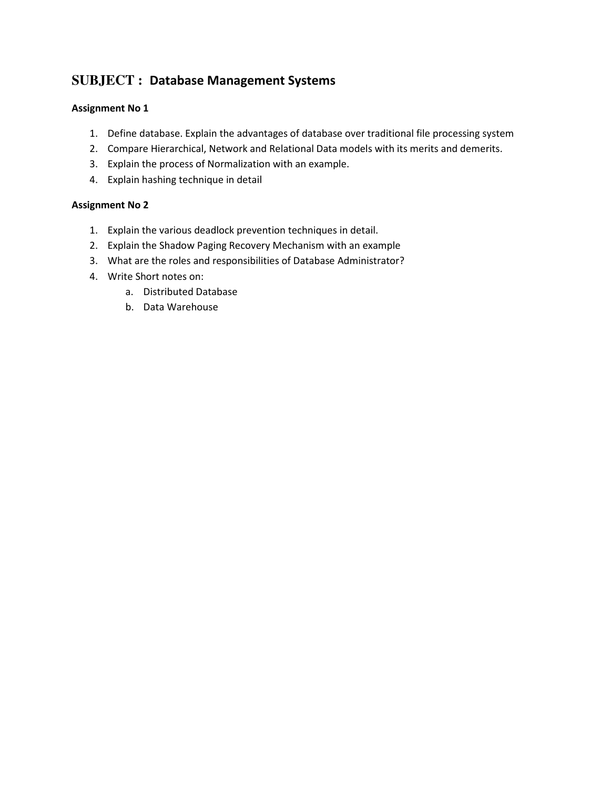## **SUBJECT :** Database Management Systems

### Assignment No 1

- 1. Define database. Explain the advantages of database over traditional file processing system
- 2. Compare Hierarchical, Network and Relational Data models with its merits and demerits.
- 3. Explain the process of Normalization with an example.
- 4. Explain hashing technique in detail

#### Assignment No 2

- 1. Explain the various deadlock prevention techniques in detail.
- 2. Explain the Shadow Paging Recovery Mechanism with an example
- 3. What are the roles and responsibilities of Database Administrator?
- 4. Write Short notes on:
	- a. Distributed Database
	- b. Data Warehouse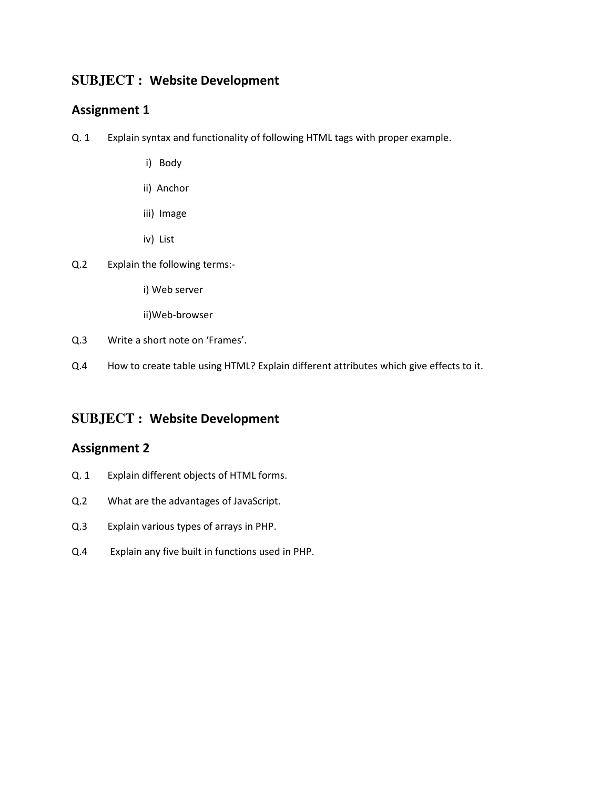### **SUBJECT :** Website Development

### Assignment 1

- Q. 1 Explain syntax and functionality of following HTML tags with proper example.
	- i) Body
	- ii) Anchor
	- iii) Image
	- iv) List
- Q.2 Explain the following terms:
	- i) Web server
	- ii)Web-browser
- Q.3 Write a short note on 'Frames'.
- Q.4 How to create table using HTML? Explain different attributes which give effects to it.

### **SUBJECT :** Website Development

### Assignment 2

- Q. 1 Explain different objects of HTML forms.
- Q.2 What are the advantages of JavaScript.
- Q.3 Explain various types of arrays in PHP.
- Q.4 Explain any five built in functions used in PHP.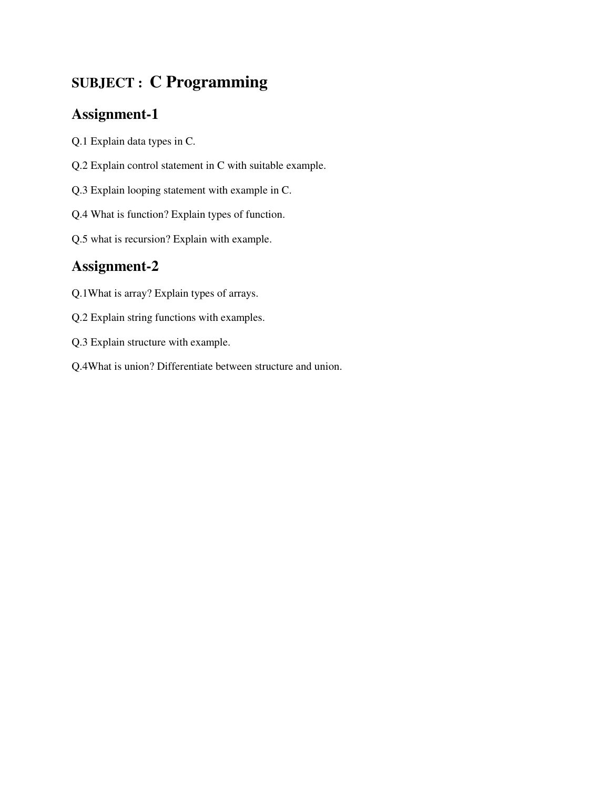# **SUBJECT : C Programming**

## **Assignment-1**

- Q.1 Explain data types in C.
- Q.2 Explain control statement in C with suitable example.
- Q.3 Explain looping statement with example in C.
- Q.4 What is function? Explain types of function.
- Q.5 what is recursion? Explain with example.

## **Assignment-2**

- Q.1What is array? Explain types of arrays.
- Q.2 Explain string functions with examples.
- Q.3 Explain structure with example.
- Q.4What is union? Differentiate between structure and union.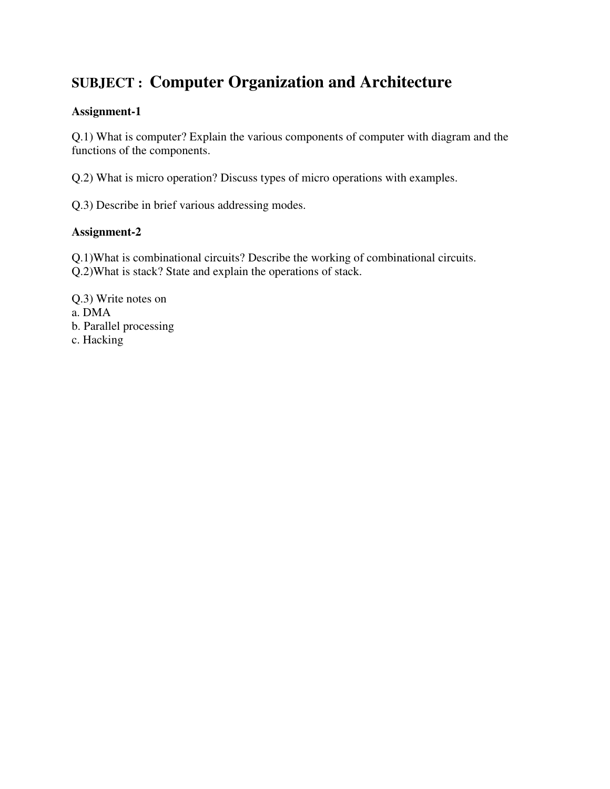# **SUBJECT : Computer Organization and Architecture**

### **Assignment-1**

Q.1) What is computer? Explain the various components of computer with diagram and the functions of the components.

Q.2) What is micro operation? Discuss types of micro operations with examples.

Q.3) Describe in brief various addressing modes.

### **Assignment-2**

Q.1)What is combinational circuits? Describe the working of combinational circuits. Q.2)What is stack? State and explain the operations of stack.

Q.3) Write notes on a. DMA b. Parallel processing c. Hacking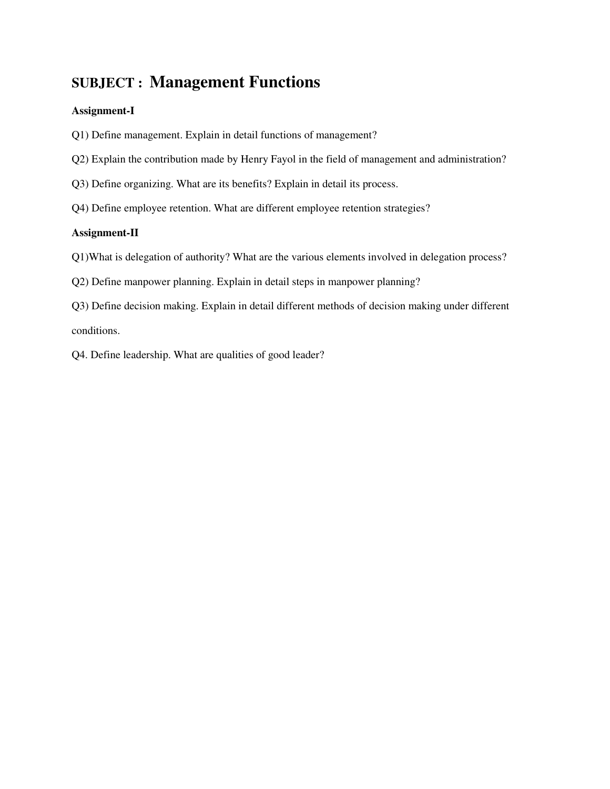## **SUBJECT : Management Functions**

#### **Assignment-I**

- Q1) Define management. Explain in detail functions of management?
- Q2) Explain the contribution made by Henry Fayol in the field of management and administration?
- Q3) Define organizing. What are its benefits? Explain in detail its process.
- Q4) Define employee retention. What are different employee retention strategies?

### **Assignment-II**

- Q1)What is delegation of authority? What are the various elements involved in delegation process?
- Q2) Define manpower planning. Explain in detail steps in manpower planning?
- Q3) Define decision making. Explain in detail different methods of decision making under different conditions.
- Q4. Define leadership. What are qualities of good leader?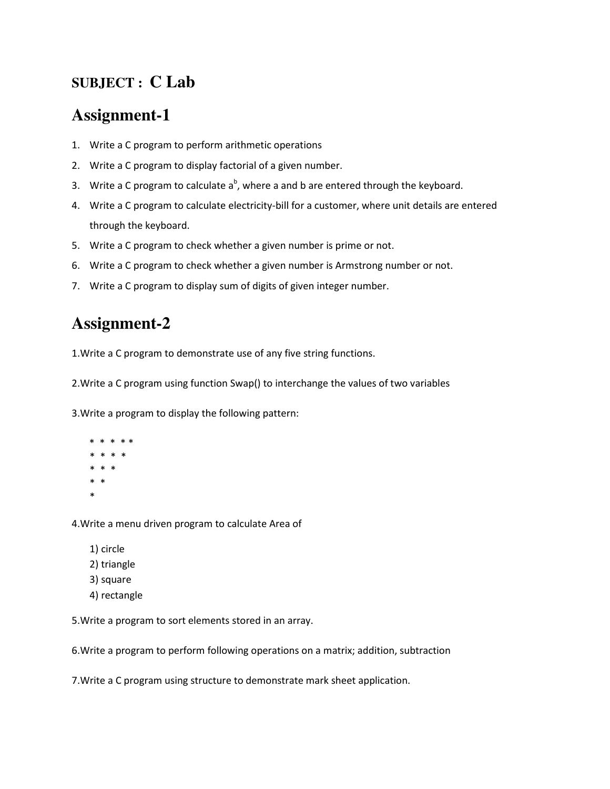## **SUBJECT : C Lab**

# **Assignment-1**

- 1. Write a C program to perform arithmetic operations
- 2. Write a C program to display factorial of a given number.
- 3. Write a C program to calculate  $a^b$ , where a and b are entered through the keyboard.
- 4. Write a C program to calculate electricity-bill for a customer, where unit details are entered through the keyboard.
- 5. Write a C program to check whether a given number is prime or not.
- 6. Write a C program to check whether a given number is Armstrong number or not.
- 7. Write a C program to display sum of digits of given integer number.

## **Assignment-2**

1.Write a C program to demonstrate use of any five string functions.

2.Write a C program using function Swap() to interchange the values of two variables

3.Write a program to display the following pattern:

 \* \* \* \* \* \* \* \* \* \* \* \* \* \* \*

4.Write a menu driven program to calculate Area of

- 1) circle
- 2) triangle
- 3) square
- 4) rectangle

5.Write a program to sort elements stored in an array.

6.Write a program to perform following operations on a matrix; addition, subtraction

7.Write a C program using structure to demonstrate mark sheet application.